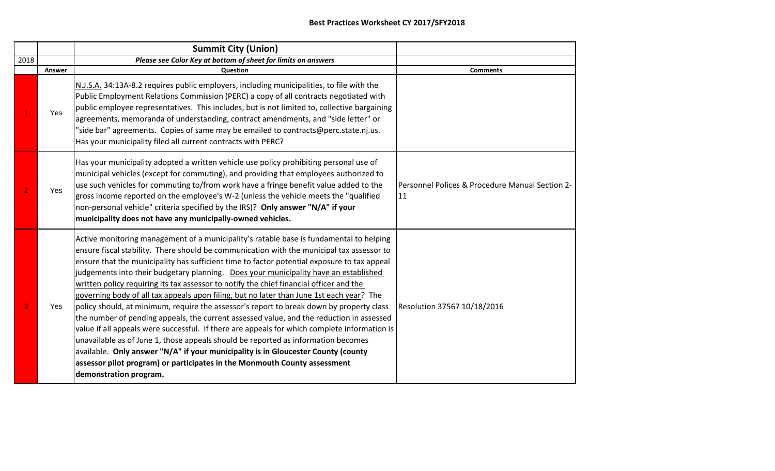|                |        | <b>Summit City (Union)</b>                                                                                                                                                                                                                                                                                                                                                                                                                                                                                                                                                                                                                                                                                                                                                                                                                                                                                                                                                                                                                                                                                                                  |                                                       |
|----------------|--------|---------------------------------------------------------------------------------------------------------------------------------------------------------------------------------------------------------------------------------------------------------------------------------------------------------------------------------------------------------------------------------------------------------------------------------------------------------------------------------------------------------------------------------------------------------------------------------------------------------------------------------------------------------------------------------------------------------------------------------------------------------------------------------------------------------------------------------------------------------------------------------------------------------------------------------------------------------------------------------------------------------------------------------------------------------------------------------------------------------------------------------------------|-------------------------------------------------------|
| 2018           |        | Please see Color Key at bottom of sheet for limits on answers                                                                                                                                                                                                                                                                                                                                                                                                                                                                                                                                                                                                                                                                                                                                                                                                                                                                                                                                                                                                                                                                               |                                                       |
|                | Answer | Question                                                                                                                                                                                                                                                                                                                                                                                                                                                                                                                                                                                                                                                                                                                                                                                                                                                                                                                                                                                                                                                                                                                                    | <b>Comments</b>                                       |
|                | Yes    | N.J.S.A. 34:13A-8.2 requires public employers, including municipalities, to file with the<br>Public Employment Relations Commission (PERC) a copy of all contracts negotiated with<br>public employee representatives. This includes, but is not limited to, collective bargaining<br>agreements, memoranda of understanding, contract amendments, and "side letter" or<br>"side bar" agreements. Copies of same may be emailed to contracts@perc.state.nj.us.<br>Has your municipality filed all current contracts with PERC?                                                                                                                                                                                                                                                                                                                                                                                                                                                                                                                                                                                                              |                                                       |
| $\overline{2}$ | Yes    | Has your municipality adopted a written vehicle use policy prohibiting personal use of<br>municipal vehicles (except for commuting), and providing that employees authorized to<br>use such vehicles for commuting to/from work have a fringe benefit value added to the<br>gross income reported on the employee's W-2 (unless the vehicle meets the "qualified<br>non-personal vehicle" criteria specified by the IRS)? Only answer "N/A" if your<br>municipality does not have any municipally-owned vehicles.                                                                                                                                                                                                                                                                                                                                                                                                                                                                                                                                                                                                                           | Personnel Polices & Procedure Manual Section 2-<br>11 |
| 3              | Yes    | Active monitoring management of a municipality's ratable base is fundamental to helping<br>ensure fiscal stability. There should be communication with the municipal tax assessor to<br>ensure that the municipality has sufficient time to factor potential exposure to tax appeal<br>judgements into their budgetary planning. Does your municipality have an established<br>written policy requiring its tax assessor to notify the chief financial officer and the<br>governing body of all tax appeals upon filing, but no later than June 1st each year? The<br>policy should, at minimum, require the assessor's report to break down by property class<br>the number of pending appeals, the current assessed value, and the reduction in assessed<br>value if all appeals were successful. If there are appeals for which complete information is<br>unavailable as of June 1, those appeals should be reported as information becomes<br>available. Only answer "N/A" if your municipality is in Gloucester County (county<br>assessor pilot program) or participates in the Monmouth County assessment<br>demonstration program. | Resolution 37567 10/18/2016                           |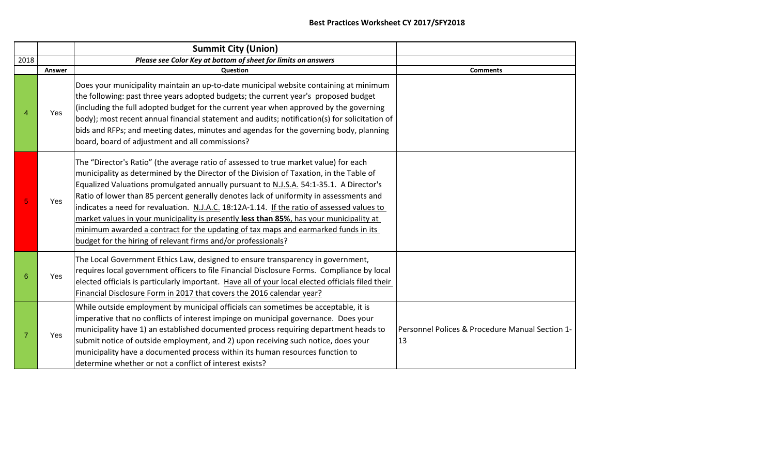|                |        | <b>Summit City (Union)</b>                                                                                                                                                                                                                                                                                                                                                                                                                                                                                                                                                                                                                                                                                          |                                                       |
|----------------|--------|---------------------------------------------------------------------------------------------------------------------------------------------------------------------------------------------------------------------------------------------------------------------------------------------------------------------------------------------------------------------------------------------------------------------------------------------------------------------------------------------------------------------------------------------------------------------------------------------------------------------------------------------------------------------------------------------------------------------|-------------------------------------------------------|
| 2018           |        | Please see Color Key at bottom of sheet for limits on answers                                                                                                                                                                                                                                                                                                                                                                                                                                                                                                                                                                                                                                                       |                                                       |
|                | Answer | <b>Ouestion</b>                                                                                                                                                                                                                                                                                                                                                                                                                                                                                                                                                                                                                                                                                                     | <b>Comments</b>                                       |
|                | Yes    | Does your municipality maintain an up-to-date municipal website containing at minimum<br>the following: past three years adopted budgets; the current year's proposed budget<br>(including the full adopted budget for the current year when approved by the governing<br>body); most recent annual financial statement and audits; notification(s) for solicitation of<br>bids and RFPs; and meeting dates, minutes and agendas for the governing body, planning<br>board, board of adjustment and all commissions?                                                                                                                                                                                                |                                                       |
| 5              | Yes    | The "Director's Ratio" (the average ratio of assessed to true market value) for each<br>municipality as determined by the Director of the Division of Taxation, in the Table of<br>Equalized Valuations promulgated annually pursuant to N.J.S.A. 54:1-35.1. A Director's<br>Ratio of lower than 85 percent generally denotes lack of uniformity in assessments and<br>indicates a need for revaluation. N.J.A.C. 18:12A-1.14. If the ratio of assessed values to<br>market values in your municipality is presently less than 85%, has your municipality at<br>minimum awarded a contract for the updating of tax maps and earmarked funds in its<br>budget for the hiring of relevant firms and/or professionals? |                                                       |
| 6              | Yes    | The Local Government Ethics Law, designed to ensure transparency in government,<br>requires local government officers to file Financial Disclosure Forms. Compliance by local<br>elected officials is particularly important. Have all of your local elected officials filed their<br>Financial Disclosure Form in 2017 that covers the 2016 calendar year?                                                                                                                                                                                                                                                                                                                                                         |                                                       |
| $\overline{7}$ | Yes    | While outside employment by municipal officials can sometimes be acceptable, it is<br>imperative that no conflicts of interest impinge on municipal governance. Does your<br>municipality have 1) an established documented process requiring department heads to<br>submit notice of outside employment, and 2) upon receiving such notice, does your<br>municipality have a documented process within its human resources function to<br>determine whether or not a conflict of interest exists?                                                                                                                                                                                                                  | Personnel Polices & Procedure Manual Section 1-<br>13 |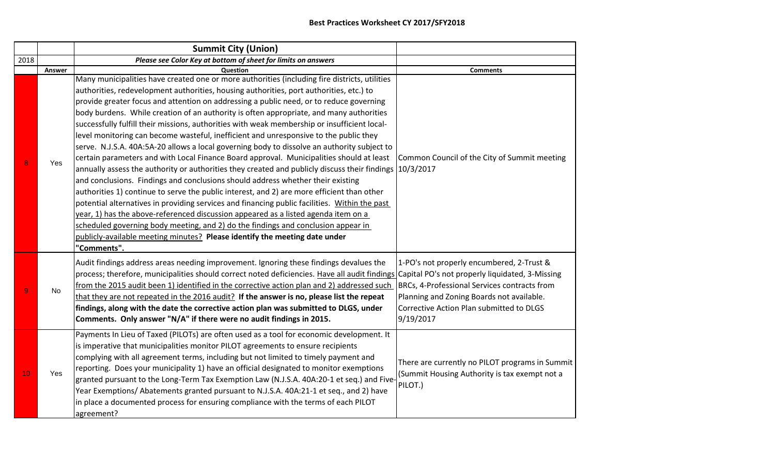|                 |        | <b>Summit City (Union)</b>                                                                                                                                                                                                                                                                                                                                                                                                                                                                                                                                                                                                                                                                                                                                                                                                                                                                                                                                                                                                                                                                                                                                                                                                                                                                                                                                                                                                              |                                                                                                                                                                                                 |
|-----------------|--------|-----------------------------------------------------------------------------------------------------------------------------------------------------------------------------------------------------------------------------------------------------------------------------------------------------------------------------------------------------------------------------------------------------------------------------------------------------------------------------------------------------------------------------------------------------------------------------------------------------------------------------------------------------------------------------------------------------------------------------------------------------------------------------------------------------------------------------------------------------------------------------------------------------------------------------------------------------------------------------------------------------------------------------------------------------------------------------------------------------------------------------------------------------------------------------------------------------------------------------------------------------------------------------------------------------------------------------------------------------------------------------------------------------------------------------------------|-------------------------------------------------------------------------------------------------------------------------------------------------------------------------------------------------|
| 2018            |        | Please see Color Key at bottom of sheet for limits on answers                                                                                                                                                                                                                                                                                                                                                                                                                                                                                                                                                                                                                                                                                                                                                                                                                                                                                                                                                                                                                                                                                                                                                                                                                                                                                                                                                                           |                                                                                                                                                                                                 |
|                 | Answer | Question                                                                                                                                                                                                                                                                                                                                                                                                                                                                                                                                                                                                                                                                                                                                                                                                                                                                                                                                                                                                                                                                                                                                                                                                                                                                                                                                                                                                                                | <b>Comments</b>                                                                                                                                                                                 |
| 8               | Yes    | Many municipalities have created one or more authorities (including fire districts, utilities<br>authorities, redevelopment authorities, housing authorities, port authorities, etc.) to<br>provide greater focus and attention on addressing a public need, or to reduce governing<br>body burdens. While creation of an authority is often appropriate, and many authorities<br>successfully fulfill their missions, authorities with weak membership or insufficient local-<br>level monitoring can become wasteful, inefficient and unresponsive to the public they<br>serve. N.J.S.A. 40A:5A-20 allows a local governing body to dissolve an authority subject to<br>certain parameters and with Local Finance Board approval. Municipalities should at least<br>annually assess the authority or authorities they created and publicly discuss their findings 10/3/2017<br>and conclusions. Findings and conclusions should address whether their existing<br>authorities 1) continue to serve the public interest, and 2) are more efficient than other<br>potential alternatives in providing services and financing public facilities. Within the past<br>year, 1) has the above-referenced discussion appeared as a listed agenda item on a<br>scheduled governing body meeting, and 2) do the findings and conclusion appear in<br>publicly-available meeting minutes? Please identify the meeting date under<br>"Comments". | Common Council of the City of Summit meeting                                                                                                                                                    |
| 9               | No     | Audit findings address areas needing improvement. Ignoring these findings devalues the<br>process; therefore, municipalities should correct noted deficiencies. Have all audit findings Capital PO's not properly liquidated, 3-Missing<br>from the 2015 audit been 1) identified in the corrective action plan and 2) addressed such<br>that they are not repeated in the 2016 audit? If the answer is no, please list the repeat<br>findings, along with the date the corrective action plan was submitted to DLGS, under<br>Comments. Only answer "N/A" if there were no audit findings in 2015.                                                                                                                                                                                                                                                                                                                                                                                                                                                                                                                                                                                                                                                                                                                                                                                                                                     | 1-PO's not properly encumbered, 2-Trust &<br>BRCs, 4-Professional Services contracts from<br>Planning and Zoning Boards not available.<br>Corrective Action Plan submitted to DLGS<br>9/19/2017 |
| 10 <sup>°</sup> | Yes    | Payments In Lieu of Taxed (PILOTs) are often used as a tool for economic development. It<br>is imperative that municipalities monitor PILOT agreements to ensure recipients<br>complying with all agreement terms, including but not limited to timely payment and<br>reporting. Does your municipality 1) have an official designated to monitor exemptions<br>granted pursuant to the Long-Term Tax Exemption Law (N.J.S.A. 40A:20-1 et seq.) and Five-<br>Year Exemptions/Abatements granted pursuant to N.J.S.A. 40A:21-1 et seq., and 2) have<br>in place a documented process for ensuring compliance with the terms of each PILOT<br>agreement?                                                                                                                                                                                                                                                                                                                                                                                                                                                                                                                                                                                                                                                                                                                                                                                  | There are currently no PILOT programs in Summit<br>(Summit Housing Authority is tax exempt not a<br>PILOT.)                                                                                     |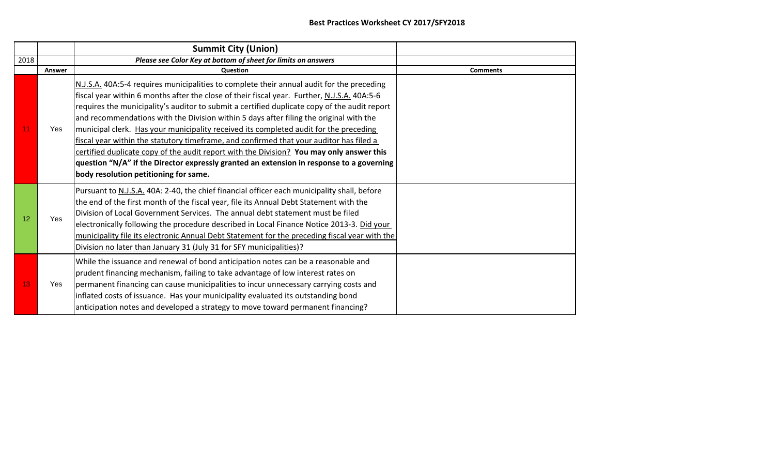|      |        | <b>Summit City (Union)</b>                                                                                                                                                                                                                                                                                                                                                                                                                                                                                                                                                                                                                                                                                                                                                                              |                 |
|------|--------|---------------------------------------------------------------------------------------------------------------------------------------------------------------------------------------------------------------------------------------------------------------------------------------------------------------------------------------------------------------------------------------------------------------------------------------------------------------------------------------------------------------------------------------------------------------------------------------------------------------------------------------------------------------------------------------------------------------------------------------------------------------------------------------------------------|-----------------|
| 2018 |        | Please see Color Key at bottom of sheet for limits on answers                                                                                                                                                                                                                                                                                                                                                                                                                                                                                                                                                                                                                                                                                                                                           |                 |
|      | Answer | Question                                                                                                                                                                                                                                                                                                                                                                                                                                                                                                                                                                                                                                                                                                                                                                                                | <b>Comments</b> |
| 11   | Yes    | N.J.S.A. 40A:5-4 requires municipalities to complete their annual audit for the preceding<br>fiscal year within 6 months after the close of their fiscal year. Further, N.J.S.A. 40A:5-6<br>requires the municipality's auditor to submit a certified duplicate copy of the audit report<br>and recommendations with the Division within 5 days after filing the original with the<br>municipal clerk. Has your municipality received its completed audit for the preceding<br>fiscal year within the statutory timeframe, and confirmed that your auditor has filed a<br>certified duplicate copy of the audit report with the Division? You may only answer this<br>question "N/A" if the Director expressly granted an extension in response to a governing<br>body resolution petitioning for same. |                 |
| 12   | Yes    | Pursuant to N.J.S.A. 40A: 2-40, the chief financial officer each municipality shall, before<br>the end of the first month of the fiscal year, file its Annual Debt Statement with the<br>Division of Local Government Services. The annual debt statement must be filed<br>electronically following the procedure described in Local Finance Notice 2013-3. Did your<br>municipality file its electronic Annual Debt Statement for the preceding fiscal year with the<br>Division no later than January 31 (July 31 for SFY municipalities)?                                                                                                                                                                                                                                                            |                 |
| 13   | Yes    | While the issuance and renewal of bond anticipation notes can be a reasonable and<br>prudent financing mechanism, failing to take advantage of low interest rates on<br>permanent financing can cause municipalities to incur unnecessary carrying costs and<br>inflated costs of issuance. Has your municipality evaluated its outstanding bond<br>anticipation notes and developed a strategy to move toward permanent financing?                                                                                                                                                                                                                                                                                                                                                                     |                 |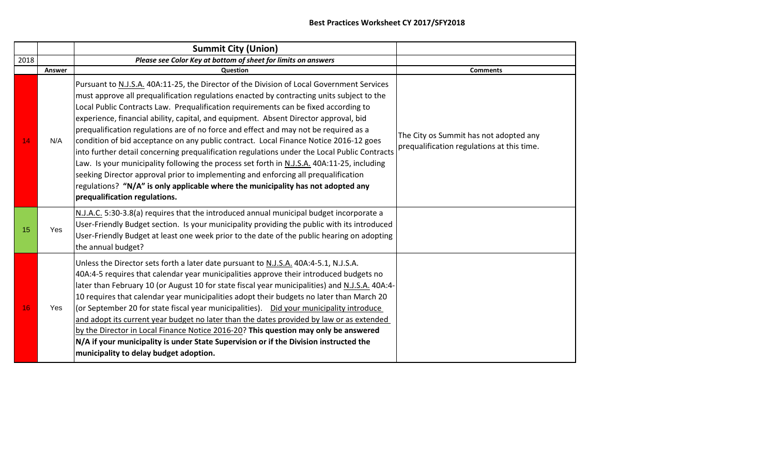|      |        | <b>Summit City (Union)</b>                                                                                                                                                                                                                                                                                                                                                                                                                                                                                                                                                                                                                                                                                                                                                                                                                                                                                                                                      |                                                                                      |
|------|--------|-----------------------------------------------------------------------------------------------------------------------------------------------------------------------------------------------------------------------------------------------------------------------------------------------------------------------------------------------------------------------------------------------------------------------------------------------------------------------------------------------------------------------------------------------------------------------------------------------------------------------------------------------------------------------------------------------------------------------------------------------------------------------------------------------------------------------------------------------------------------------------------------------------------------------------------------------------------------|--------------------------------------------------------------------------------------|
| 2018 |        | Please see Color Key at bottom of sheet for limits on answers                                                                                                                                                                                                                                                                                                                                                                                                                                                                                                                                                                                                                                                                                                                                                                                                                                                                                                   |                                                                                      |
|      | Answer | Question                                                                                                                                                                                                                                                                                                                                                                                                                                                                                                                                                                                                                                                                                                                                                                                                                                                                                                                                                        | <b>Comments</b>                                                                      |
| 14   | N/A    | Pursuant to N.J.S.A. 40A:11-25, the Director of the Division of Local Government Services<br>must approve all prequalification regulations enacted by contracting units subject to the<br>Local Public Contracts Law. Prequalification requirements can be fixed according to<br>experience, financial ability, capital, and equipment. Absent Director approval, bid<br>prequalification regulations are of no force and effect and may not be required as a<br>condition of bid acceptance on any public contract. Local Finance Notice 2016-12 goes<br>into further detail concerning prequalification regulations under the Local Public Contracts<br>Law. Is your municipality following the process set forth in N.J.S.A. 40A:11-25, including<br>seeking Director approval prior to implementing and enforcing all prequalification<br>regulations? "N/A" is only applicable where the municipality has not adopted any<br>prequalification regulations. | The City os Summit has not adopted any<br>prequalification regulations at this time. |
| 15   | Yes    | N.J.A.C. 5:30-3.8(a) requires that the introduced annual municipal budget incorporate a<br>User-Friendly Budget section. Is your municipality providing the public with its introduced<br>User-Friendly Budget at least one week prior to the date of the public hearing on adopting<br>the annual budget?                                                                                                                                                                                                                                                                                                                                                                                                                                                                                                                                                                                                                                                      |                                                                                      |
| 16   | Yes    | Unless the Director sets forth a later date pursuant to N.J.S.A. 40A:4-5.1, N.J.S.A.<br>40A:4-5 requires that calendar year municipalities approve their introduced budgets no<br>later than February 10 (or August 10 for state fiscal year municipalities) and N.J.S.A. 40A:4-<br>10 requires that calendar year municipalities adopt their budgets no later than March 20<br>(or September 20 for state fiscal year municipalities).  Did your municipality introduce<br>and adopt its current year budget no later than the dates provided by law or as extended<br>by the Director in Local Finance Notice 2016-20? This question may only be answered<br>N/A if your municipality is under State Supervision or if the Division instructed the<br>municipality to delay budget adoption.                                                                                                                                                                  |                                                                                      |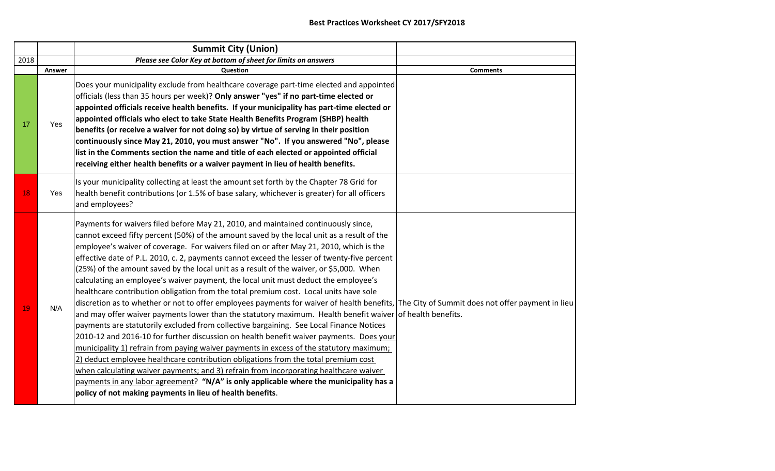|      |        | <b>Summit City (Union)</b>                                                                                                                                                                                                                                                                                                                                                                                                                                                                                                                                                                                                                                                                                                                                                                                                                                                                                                                                                                                                                                                                                                                                                                                                                                                                                                                                                                                                                                                                                                                |                 |
|------|--------|-------------------------------------------------------------------------------------------------------------------------------------------------------------------------------------------------------------------------------------------------------------------------------------------------------------------------------------------------------------------------------------------------------------------------------------------------------------------------------------------------------------------------------------------------------------------------------------------------------------------------------------------------------------------------------------------------------------------------------------------------------------------------------------------------------------------------------------------------------------------------------------------------------------------------------------------------------------------------------------------------------------------------------------------------------------------------------------------------------------------------------------------------------------------------------------------------------------------------------------------------------------------------------------------------------------------------------------------------------------------------------------------------------------------------------------------------------------------------------------------------------------------------------------------|-----------------|
| 2018 |        | Please see Color Key at bottom of sheet for limits on answers                                                                                                                                                                                                                                                                                                                                                                                                                                                                                                                                                                                                                                                                                                                                                                                                                                                                                                                                                                                                                                                                                                                                                                                                                                                                                                                                                                                                                                                                             |                 |
|      | Answer | <b>Question</b>                                                                                                                                                                                                                                                                                                                                                                                                                                                                                                                                                                                                                                                                                                                                                                                                                                                                                                                                                                                                                                                                                                                                                                                                                                                                                                                                                                                                                                                                                                                           | <b>Comments</b> |
| 17   | Yes    | Does your municipality exclude from healthcare coverage part-time elected and appointed<br>officials (less than 35 hours per week)? Only answer "yes" if no part-time elected or<br>appointed officials receive health benefits. If your municipality has part-time elected or<br>appointed officials who elect to take State Health Benefits Program (SHBP) health<br>benefits (or receive a waiver for not doing so) by virtue of serving in their position<br>continuously since May 21, 2010, you must answer "No". If you answered "No", please<br>list in the Comments section the name and title of each elected or appointed official<br>receiving either health benefits or a waiver payment in lieu of health benefits.                                                                                                                                                                                                                                                                                                                                                                                                                                                                                                                                                                                                                                                                                                                                                                                                         |                 |
| 18   | Yes    | Is your municipality collecting at least the amount set forth by the Chapter 78 Grid for<br>health benefit contributions (or 1.5% of base salary, whichever is greater) for all officers<br>and employees?                                                                                                                                                                                                                                                                                                                                                                                                                                                                                                                                                                                                                                                                                                                                                                                                                                                                                                                                                                                                                                                                                                                                                                                                                                                                                                                                |                 |
| 19   | N/A    | Payments for waivers filed before May 21, 2010, and maintained continuously since,<br>cannot exceed fifty percent (50%) of the amount saved by the local unit as a result of the<br>employee's waiver of coverage. For waivers filed on or after May 21, 2010, which is the<br>effective date of P.L. 2010, c. 2, payments cannot exceed the lesser of twenty-five percent<br>(25%) of the amount saved by the local unit as a result of the waiver, or \$5,000. When<br>calculating an employee's waiver payment, the local unit must deduct the employee's<br>healthcare contribution obligation from the total premium cost. Local units have sole<br>discretion as to whether or not to offer employees payments for waiver of health benefits, The City of Summit does not offer payment in lieu<br>and may offer waiver payments lower than the statutory maximum. Health benefit waiver of health benefits.<br>payments are statutorily excluded from collective bargaining. See Local Finance Notices<br>2010-12 and 2016-10 for further discussion on health benefit waiver payments. Does your<br>municipality 1) refrain from paying waiver payments in excess of the statutory maximum;<br>2) deduct employee healthcare contribution obligations from the total premium cost<br>when calculating waiver payments; and 3) refrain from incorporating healthcare waiver<br>payments in any labor agreement? "N/A" is only applicable where the municipality has a<br>policy of not making payments in lieu of health benefits. |                 |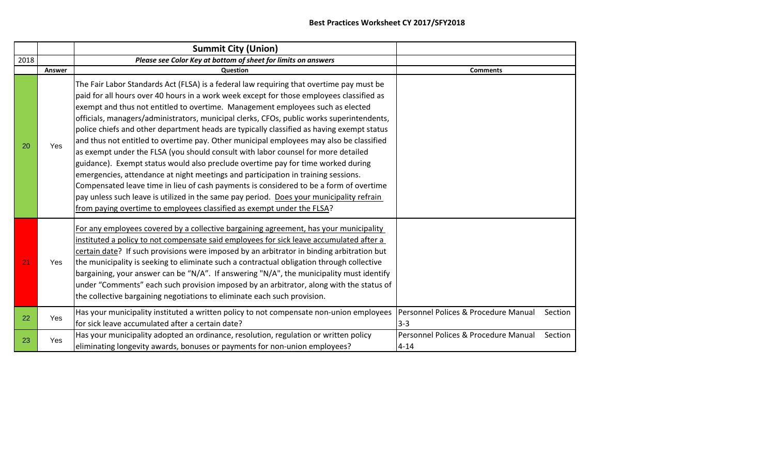|      |            | <b>Summit City (Union)</b>                                                                                                                                                                                                                                                                                                                                                                                                                                                                                                                                                                                                                                                                                                                                                                                                                                                                                                                                                                                                                                                                |                                                  |         |
|------|------------|-------------------------------------------------------------------------------------------------------------------------------------------------------------------------------------------------------------------------------------------------------------------------------------------------------------------------------------------------------------------------------------------------------------------------------------------------------------------------------------------------------------------------------------------------------------------------------------------------------------------------------------------------------------------------------------------------------------------------------------------------------------------------------------------------------------------------------------------------------------------------------------------------------------------------------------------------------------------------------------------------------------------------------------------------------------------------------------------|--------------------------------------------------|---------|
| 2018 |            | Please see Color Key at bottom of sheet for limits on answers                                                                                                                                                                                                                                                                                                                                                                                                                                                                                                                                                                                                                                                                                                                                                                                                                                                                                                                                                                                                                             |                                                  |         |
|      | Answer     | Question                                                                                                                                                                                                                                                                                                                                                                                                                                                                                                                                                                                                                                                                                                                                                                                                                                                                                                                                                                                                                                                                                  | <b>Comments</b>                                  |         |
| 20   | Yes        | The Fair Labor Standards Act (FLSA) is a federal law requiring that overtime pay must be<br>paid for all hours over 40 hours in a work week except for those employees classified as<br>exempt and thus not entitled to overtime. Management employees such as elected<br>officials, managers/administrators, municipal clerks, CFOs, public works superintendents,<br>police chiefs and other department heads are typically classified as having exempt status<br>and thus not entitled to overtime pay. Other municipal employees may also be classified<br>as exempt under the FLSA (you should consult with labor counsel for more detailed<br>guidance). Exempt status would also preclude overtime pay for time worked during<br>emergencies, attendance at night meetings and participation in training sessions.<br>Compensated leave time in lieu of cash payments is considered to be a form of overtime<br>pay unless such leave is utilized in the same pay period. Does your municipality refrain<br>from paying overtime to employees classified as exempt under the FLSA? |                                                  |         |
| 21   | Yes        | For any employees covered by a collective bargaining agreement, has your municipality<br>instituted a policy to not compensate said employees for sick leave accumulated after a<br>certain date? If such provisions were imposed by an arbitrator in binding arbitration but<br>the municipality is seeking to eliminate such a contractual obligation through collective<br>bargaining, your answer can be "N/A". If answering "N/A", the municipality must identify<br>under "Comments" each such provision imposed by an arbitrator, along with the status of<br>the collective bargaining negotiations to eliminate each such provision.                                                                                                                                                                                                                                                                                                                                                                                                                                             |                                                  |         |
| 22   | <b>Yes</b> | Has your municipality instituted a written policy to not compensate non-union employees<br>for sick leave accumulated after a certain date?                                                                                                                                                                                                                                                                                                                                                                                                                                                                                                                                                                                                                                                                                                                                                                                                                                                                                                                                               | Personnel Polices & Procedure Manual<br>$3 - 3$  | Section |
| 23   | Yes        | Has your municipality adopted an ordinance, resolution, regulation or written policy<br>eliminating longevity awards, bonuses or payments for non-union employees?                                                                                                                                                                                                                                                                                                                                                                                                                                                                                                                                                                                                                                                                                                                                                                                                                                                                                                                        | Personnel Polices & Procedure Manual<br>$4 - 14$ | Section |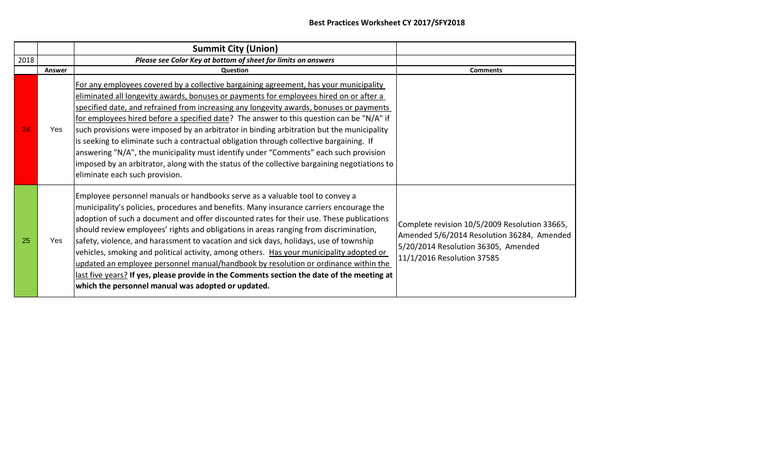|      |        | <b>Summit City (Union)</b>                                                                                                                                                                                                                                                                                                                                                                                                                                                                                                                                                                                                                                                                                                                                                                   |                                                                                                                                                                  |
|------|--------|----------------------------------------------------------------------------------------------------------------------------------------------------------------------------------------------------------------------------------------------------------------------------------------------------------------------------------------------------------------------------------------------------------------------------------------------------------------------------------------------------------------------------------------------------------------------------------------------------------------------------------------------------------------------------------------------------------------------------------------------------------------------------------------------|------------------------------------------------------------------------------------------------------------------------------------------------------------------|
| 2018 |        | Please see Color Key at bottom of sheet for limits on answers                                                                                                                                                                                                                                                                                                                                                                                                                                                                                                                                                                                                                                                                                                                                |                                                                                                                                                                  |
|      | Answer | <b>Question</b>                                                                                                                                                                                                                                                                                                                                                                                                                                                                                                                                                                                                                                                                                                                                                                              | <b>Comments</b>                                                                                                                                                  |
| 24   | Yes    | For any employees covered by a collective bargaining agreement, has your municipality<br>eliminated all longevity awards, bonuses or payments for employees hired on or after a<br>specified date, and refrained from increasing any longevity awards, bonuses or payments<br>for employees hired before a specified date? The answer to this question can be "N/A" if<br>such provisions were imposed by an arbitrator in binding arbitration but the municipality<br>is seeking to eliminate such a contractual obligation through collective bargaining. If<br>answering "N/A", the municipality must identify under "Comments" each such provision<br>imposed by an arbitrator, along with the status of the collective bargaining negotiations to<br>eliminate each such provision.     |                                                                                                                                                                  |
| 25   | Yes    | Employee personnel manuals or handbooks serve as a valuable tool to convey a<br>municipality's policies, procedures and benefits. Many insurance carriers encourage the<br>adoption of such a document and offer discounted rates for their use. These publications<br>should review employees' rights and obligations in areas ranging from discrimination,<br>safety, violence, and harassment to vacation and sick days, holidays, use of township<br>vehicles, smoking and political activity, among others. Has your municipality adopted or<br>updated an employee personnel manual/handbook by resolution or ordinance within the<br>last five years? If yes, please provide in the Comments section the date of the meeting at<br>which the personnel manual was adopted or updated. | Complete revision 10/5/2009 Resolution 33665,<br>Amended 5/6/2014 Resolution 36284, Amended<br>5/20/2014 Resolution 36305, Amended<br>11/1/2016 Resolution 37585 |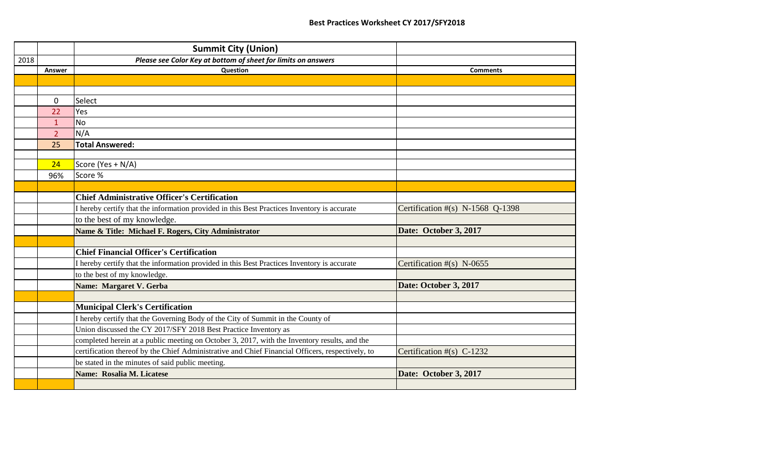|      |                | <b>Summit City (Union)</b>                                                                       |                                  |
|------|----------------|--------------------------------------------------------------------------------------------------|----------------------------------|
| 2018 |                | Please see Color Key at bottom of sheet for limits on answers                                    |                                  |
|      | Answer         | <b>Question</b>                                                                                  | <b>Comments</b>                  |
|      |                |                                                                                                  |                                  |
|      |                |                                                                                                  |                                  |
|      | $\mathbf 0$    | Select                                                                                           |                                  |
|      | 22             | Yes                                                                                              |                                  |
|      | $\mathbf{1}$   | <b>No</b>                                                                                        |                                  |
|      | 2 <sup>1</sup> | N/A                                                                                              |                                  |
|      | 25             | <b>Total Answered:</b>                                                                           |                                  |
|      |                |                                                                                                  |                                  |
|      | 24             | Score (Yes + N/A)                                                                                |                                  |
|      | 96%            | Score %                                                                                          |                                  |
|      |                |                                                                                                  |                                  |
|      |                | <b>Chief Administrative Officer's Certification</b>                                              |                                  |
|      |                | I hereby certify that the information provided in this Best Practices Inventory is accurate      | Certification #(s) N-1568 Q-1398 |
|      |                | to the best of my knowledge.                                                                     |                                  |
|      |                | Name & Title: Michael F. Rogers, City Administrator                                              | Date: October 3, 2017            |
|      |                |                                                                                                  |                                  |
|      |                | <b>Chief Financial Officer's Certification</b>                                                   |                                  |
|      |                | I hereby certify that the information provided in this Best Practices Inventory is accurate      | Certification $#(s)$ N-0655      |
|      |                | to the best of my knowledge.                                                                     |                                  |
|      |                | Name: Margaret V. Gerba                                                                          | Date: October 3, 2017            |
|      |                |                                                                                                  |                                  |
|      |                | <b>Municipal Clerk's Certification</b>                                                           |                                  |
|      |                | I hereby certify that the Governing Body of the City of Summit in the County of                  |                                  |
|      |                | Union discussed the CY 2017/SFY 2018 Best Practice Inventory as                                  |                                  |
|      |                | completed herein at a public meeting on October 3, 2017, with the Inventory results, and the     |                                  |
|      |                | certification thereof by the Chief Administrative and Chief Financial Officers, respectively, to | Certification $#(s)$ C-1232      |
|      |                | be stated in the minutes of said public meeting.                                                 |                                  |
|      |                | Name: Rosalia M. Licatese                                                                        | Date: October 3, 2017            |
|      |                |                                                                                                  |                                  |